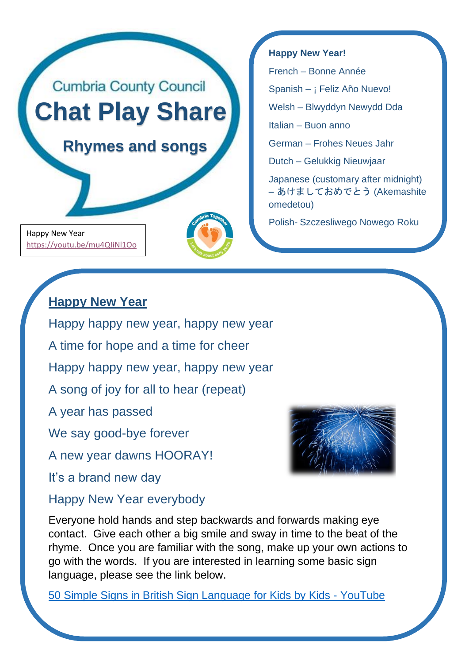

Happy New Year <https://youtu.be/mu4QIiNl1Oo>

# **Happy New Year**

Happy happy new year, happy new year

A time for hope and a time for cheer

Happy happy new year, happy new year

A song of joy for all to hear (repeat)

A year has passed

We say good-bye forever

A new year dawns HOORAY!

It's a brand new day

# Happy New Year everybody

Everyone hold hands and step backwards and forwards making eye contact. Give each other a big smile and sway in time to the beat of the rhyme. Once you are familiar with the song, make up your own actions to go with the words. If you are interested in learning some basic sign language, please see the link below.

[50 Simple Signs in British Sign Language for Kids by Kids -](https://www.youtube.com/watch?v=YtAi0R83qzU) YouTube



**Happy New Year!**

French – Bonne Année

Spanish – ¡ Feliz Año Nuevo!

Welsh – Blwyddyn Newydd Dda

Italian – Buon anno

German – Frohes Neues Jahr

Dutch – Gelukkig Nieuwjaar

Japanese (customary after midnight) – あけましておめでとう (Akemashite omedetou)

Polish- Szczesliwego Nowego Roku